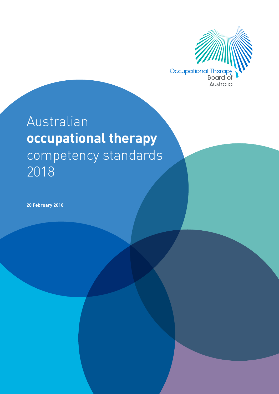

## Australian **occupational therapy**  competency standards 2018

**20 February 2018**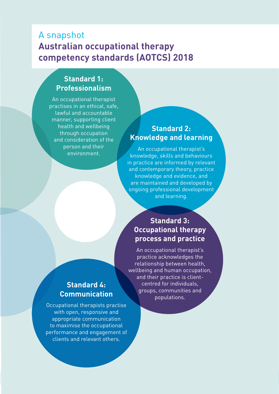## <span id="page-1-0"></span>A snapshot **Australian occupational therapy competency standards (AOTCS) 2018**

## **Standard 1: Professionalism**

An occupational therapist practises in an ethical, safe, lawful and accountable manner, supporting client health and wellbeing through occupation and consideration of the person and their environment.

## **Standard 2: Knowledge and learning**

An occupational therapist's knowledge, skills and behaviours in practice are informed by relevant and contemporary theory, practice knowledge and evidence, and are maintained and developed by ongoing professional development and learning.

## **Standard 3: Occupational therapy process and practice**

An occupational therapist's practice acknowledges the relationship between health, wellbeing and human occupation, and their practice is clientcentred for individuals, groups, communities and populations.

## **Standard 4: Communication**

Occupational therapists practise with open, responsive and appropriate communication to maximise the occupational performance and engagement of clients and relevant others.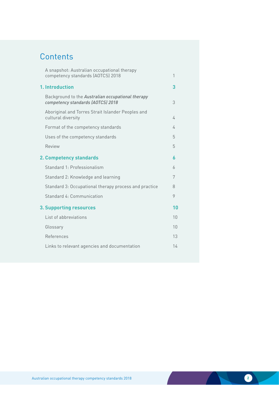## **Contents**

|                                | A snapshot: Australian occupational therapy<br>competency standards (AOTCS) 2018       | 1  |  |
|--------------------------------|----------------------------------------------------------------------------------------|----|--|
|                                | 1. Introduction                                                                        |    |  |
|                                | Background to the Australian occupational therapy<br>competency standards (AOTCS) 2018 | 3  |  |
|                                | Aboriginal and Torres Strait Islander Peoples and<br>cultural diversity                | 4  |  |
|                                | Format of the competency standards                                                     | 4  |  |
|                                | Uses of the competency standards                                                       | 5  |  |
|                                | Review                                                                                 | 5  |  |
| 2. Competency standards        |                                                                                        |    |  |
|                                | Standard 1: Professionalism                                                            | 6  |  |
|                                | Standard 2: Knowledge and learning                                                     | 7  |  |
|                                | Standard 3: Occupational therapy process and practice                                  | 8  |  |
|                                | Standard 4: Communication                                                              | 9  |  |
| <b>3. Supporting resources</b> |                                                                                        | 10 |  |
|                                | List of abbreviations                                                                  | 10 |  |
|                                | Glossary                                                                               | 10 |  |
|                                | References                                                                             | 13 |  |
|                                | Links to relevant agencies and documentation                                           | 14 |  |
|                                |                                                                                        |    |  |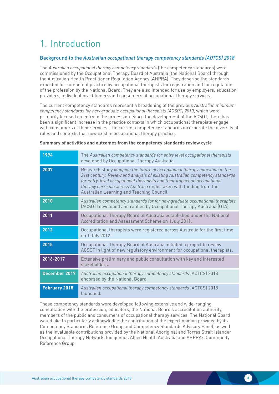## <span id="page-3-0"></span>1. Introduction

#### Background to the *Australian occupational therapy competency standards (AOTCS) 2018*

The *Australian occupational therapy competency standards* (the competency standards) were commissioned by the Occupational Therapy Board of Australia (the National Board) through the Australian Health Practitioner Regulation Agency (AHPRA). They describe the standards expected for competent practice by occupational therapists for registration and for regulation of the profession by the National Board. They are also intended for use by employers, education providers, individual practitioners and consumers of occupational therapy services.

The current competency standards represent a broadening of the previous *Australian minimum competency standards for new graduate occupational therapists (ACSOT) 2010*, which were primarily focused on entry to the profession. Since the development of the ACSOT, there has been a significant increase in the practice contexts in which occupational therapists engage with consumers of their services. The current competency standards incorporate the diversity of roles and contexts that now exist in occupational therapy practice.

| 1994                 | The Australian competency standards for entry level occupational therapists<br>developed by Occupational Therapy Australia.                                                                                                                                                                                                                                 |
|----------------------|-------------------------------------------------------------------------------------------------------------------------------------------------------------------------------------------------------------------------------------------------------------------------------------------------------------------------------------------------------------|
| 2007                 | Research study Mapping the future of occupational therapy education in the<br>21st century: Review and analysis of existing Australian competency standards<br>for entry-level occupational therapists and their impact on occupational<br>therapy curricula across Australia undertaken with funding from the<br>Australian Learning and Teaching Council. |
| 2010                 | Australian competency standards for for new graduate occupational therapists<br>(ACSOT) developed and ratified by Occupational Therapy Australia (OTA).                                                                                                                                                                                                     |
| 2011                 | Occupational Therapy Board of Australia established under the National<br>Accreditation and Assessment Scheme on 1 July 2011.                                                                                                                                                                                                                               |
| 2012                 | Occupational therapists were registered across Australia for the first time<br>on 1 July 2012.                                                                                                                                                                                                                                                              |
| 2015                 | Occupational Therapy Board of Australia initiated a project to review<br>ACSOT in light of new regulatory environment for occupational therapists.                                                                                                                                                                                                          |
| 2016-2017            | Extensive preliminary and public consultation with key and interested<br>stakeholders.                                                                                                                                                                                                                                                                      |
| December 2017        | Australian occupational therapy competency standards (AOTCS) 2018<br>endorsed by the National Board.                                                                                                                                                                                                                                                        |
| <b>February 2018</b> | Australian occupational therapy competency standards (AOTCS) 2018<br>launched.                                                                                                                                                                                                                                                                              |

#### **Summary of activities and outcomes from the competency standards review cycle**

These competency standards were developed following extensive and wide-ranging consultation with the profession, educators, the National Board's accreditation authority, members of the public and consumers of occupational therapy services. The National Board would like to particularly acknowledge the contribution of the expert opinion provided by its Competency Standards Reference Group and Competency Standards Advisory Panel, as well as the invaluable contributions provided by the National Aboriginal and Torres Strait Islander Occupational Therapy Network, Indigenous Allied Health Australia and AHPRA's Community Reference Group.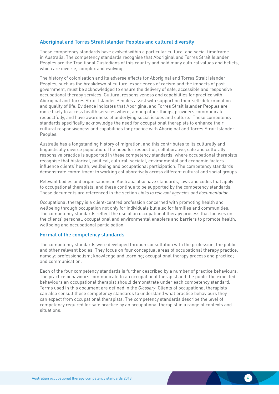#### <span id="page-4-0"></span>Aboriginal and Torres Strait Islander Peoples and cultural diversity

These competency standards have evolved within a particular cultural and social timeframe in Australia. The competency standards recognise that Aboriginal and Torres Strait Islander Peoples are the Traditional Custodians of this country and hold many cultural values and beliefs, which are diverse, complex and evolving.

The history of colonisation and its adverse effects for Aboriginal and Torres Strait Islander Peoples, such as the breakdown of culture, experiences of racism and the impacts of past government, must be acknowledged to ensure the delivery of safe, accessible and responsive occupational therapy services. Cultural responsiveness and capabilities for practice with Aboriginal and Torres Strait Islander Peoples assist with supporting their self-determination and quality of life. Evidence indicates that Aboriginal and Torres Strait Islander Peoples are more likely to access health services where, among other things, providers communicate respectfully, and have awareness of underlying social issues and culture.<sup>1</sup> These competency standards specifically acknowledge the need for occupational therapists to enhance their cultural responsiveness and capabilities for practice with Aboriginal and Torres Strait Islander Peoples.

Australia has a longstanding history of migration, and this contributes to its culturally and linguistically diverse population. The need for respectful, collaborative, safe and culturally responsive practice is supported in these competency standards, where occupational therapists recognise that historical, political, cultural, societal, environmental and economic factors influence clients' health, wellbeing and occupational participation. The competency standards demonstrate commitment to working collaboratively across different cultural and social groups.

Relevant bodies and organisations in Australia also have standards, laws and codes that apply to occupational therapists, and these continue to be supported by the competency standards. These documents are referenced in the section *Links to relevant agencies and documentation*.

Occupational therapy is a client-centred profession concerned with promoting health and wellbeing through occupation not only for individuals but also for families and communities. The competency standards reflect the use of an occupational therapy process that focuses on the clients' personal, occupational and environmental enablers and barriers to promote health, wellbeing and occupational participation.

#### Format of the competency standards

The competency standards were developed through consultation with the profession, the public and other relevant bodies. They focus on four conceptual areas of occupational therapy practice, namely: professionalism; knowledge and learning; occupational therapy process and practice; and communication.

Each of the four competency standards is further described by a number of practice behaviours. The practice behaviours communicate to an occupational therapist and the public the expected behaviours an occupational therapist should demonstrate under each competency standard. Terms used in this document are defined in the *Glossary*. Clients of occupational therapists can also consult these competency standards to understand what practice behaviours they can expect from occupational therapists. The competency standards describe the level of competency required for safe practice by an occupational therapist in a range of contexts and situations.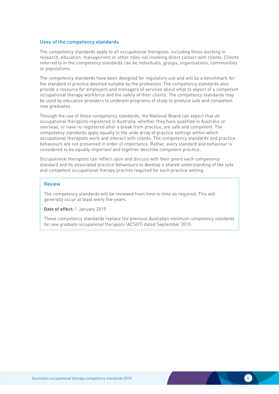#### <span id="page-5-0"></span>Uses of the competency standards

The competency standards apply to all occupational therapists, including those working in research, education, management or other roles not involving direct contact with clients. Clients referred to in the competency standards can be individuals, groups, organisations, communities or populations.

The competency standards have been designed for regulatory use and will be a benchmark for the standard of practice deemed suitable by the profession. The competency standards also provide a resource for employers and managers of services about what to expect of a competent occupational therapy workforce and the safety of their clients. The competency standards may be used by education providers to underpin programs of study to produce safe and competent new graduates.

Through the use of these competency standards, the National Board can expect that all occupational therapists registered in Australia, whether they have qualified in Australia or overseas, or have re-registered after a break from practice, are safe and competent. The competency standards apply equally to the wide array of practice settings within which occupational therapists work and interact with clients. The competency standards and practice behaviours are not presented in order of importance. Rather, every standard and behaviour is considered to be equally important and together describe competent practice.

Occupational therapists can reflect upon and discuss with their peers each competency standard and its associated practice behaviours to develop a shared understanding of the safe and competent occupational therapy practice required for each practice setting.

#### Review

The competency standards will be reviewed from time to time as required. This will generally occur at least every five years.

**Date of effect:** 1 January 2019

These competency standards replace the previous *Australian minimum competency standards for new graduate occupational therapists* (ACSOT) dated September 2010.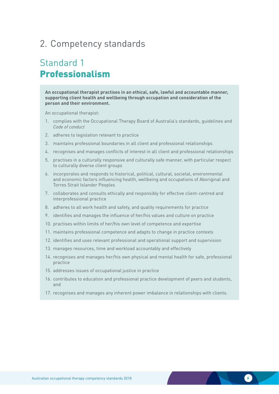## <span id="page-6-0"></span>2. Competency standards

## Standard 1 Professionalism

**An occupational therapist practises in an ethical, safe, lawful and accountable manner, supporting client health and wellbeing through occupation and consideration of the person and their environment.**

- 1. complies with the Occupational Therapy Board of Australia's standards, guidelines and *Code of conduct*
- 2. adheres to legislation relevant to practice
- 3. maintains professional boundaries in all client and professional relationships
- 4. recognises and manages conflicts of interest in all client and professional relationships
- 5. practises in a culturally responsive and culturally safe manner, with particular respect to culturally diverse client groups
- 6. incorporates and responds to historical, political, cultural, societal, environmental and economic factors influencing health, wellbeing and occupations of Aboriginal and Torres Strait Islander Peoples
- 7. collaborates and consults ethically and responsibly for effective client-centred and interprofessional practice
- 8. adheres to all work health and safety, and quality requirements for practice
- 9. identifies and manages the influence of her/his values and culture on practice
- 10. practises within limits of her/his own level of competence and expertise
- 11. maintains professional competence and adapts to change in practice contexts
- 12. identifies and uses relevant professional and operational support and supervision
- 13. manages resources, time and workload accountably and effectively
- 14. recognises and manages her/his own physical and mental health for safe, professional practice
- 15. addresses issues of occupational justice in practice
- 16. contributes to education and professional practice development of peers and students, and
- 17. recognises and manages any inherent power imbalance in relationships with clients.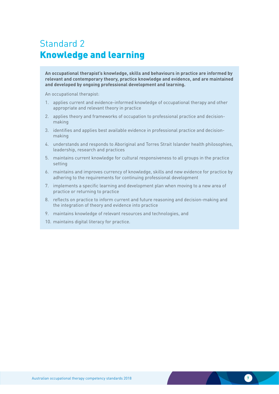## <span id="page-7-0"></span>Standard 2 Knowledge and learning

**An occupational therapist's knowledge, skills and behaviours in practice are informed by relevant and contemporary theory, practice knowledge and evidence, and are maintained and developed by ongoing professional development and learning.**

- 1. applies current and evidence-informed knowledge of occupational therapy and other appropriate and relevant theory in practice
- 2. applies theory and frameworks of occupation to professional practice and decisionmaking
- 3. identifies and applies best available evidence in professional practice and decisionmaking
- 4. understands and responds to Aboriginal and Torres Strait Islander health philosophies, leadership, research and practices
- 5. maintains current knowledge for cultural responsiveness to all groups in the practice setting
- 6. maintains and improves currency of knowledge, skills and new evidence for practice by adhering to the requirements for continuing professional development
- 7. implements a specific learning and development plan when moving to a new area of practice or returning to practice
- 8. reflects on practice to inform current and future reasoning and decision-making and the integration of theory and evidence into practice
- 9. maintains knowledge of relevant resources and technologies, and
- 10. maintains digital literacy for practice.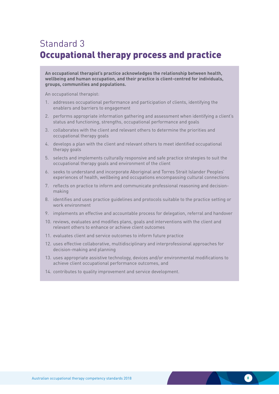## <span id="page-8-0"></span>Standard 3 Occupational therapy process and practice

**An occupational therapist's practice acknowledges the relationship between health, wellbeing and human occupation, and their practice is client-centred for individuals, groups, communities and populations.**

- 1. addresses occupational performance and participation of clients, identifying the enablers and barriers to engagement
- 2. performs appropriate information gathering and assessment when identifying a client's status and functioning, strengths, occupational performance and goals
- 3. collaborates with the client and relevant others to determine the priorities and occupational therapy goals
- 4. develops a plan with the client and relevant others to meet identified occupational therapy goals
- 5. selects and implements culturally responsive and safe practice strategies to suit the occupational therapy goals and environment of the client
- 6. seeks to understand and incorporate Aboriginal and Torres Strait Islander Peoples' experiences of health, wellbeing and occupations encompassing cultural connections
- 7. reflects on practice to inform and communicate professional reasoning and decisionmaking
- 8. identifies and uses practice guidelines and protocols suitable to the practice setting or work environment
- 9. implements an effective and accountable process for delegation, referral and handover
- 10. reviews, evaluates and modifies plans, goals and interventions with the client and relevant others to enhance or achieve client outcomes
- 11. evaluates client and service outcomes to inform future practice
- 12. uses effective collaborative, multidisciplinary and interprofessional approaches for decision-making and planning
- 13. uses appropriate assistive technology, devices and/or environmental modifications to achieve client occupational performance outcomes, and
- 14. contributes to quality improvement and service development.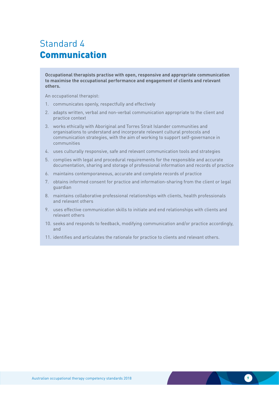## <span id="page-9-0"></span>Standard 4 Communication

**Occupational therapists practise with open, responsive and appropriate communication to maximise the occupational performance and engagement of clients and relevant others.**

- 1. communicates openly, respectfully and effectively
- 2. adapts written, verbal and non-verbal communication appropriate to the client and practice context
- 3. works ethically with Aboriginal and Torres Strait Islander communities and organisations to understand and incorporate relevant cultural protocols and communication strategies, with the aim of working to support self-governance in communities
- 4. uses culturally responsive, safe and relevant communication tools and strategies
- 5. complies with legal and procedural requirements for the responsible and accurate documentation, sharing and storage of professional information and records of practice
- 6. maintains contemporaneous, accurate and complete records of practice
- 7. obtains informed consent for practice and information-sharing from the client or legal guardian
- 8. maintains collaborative professional relationships with clients, health professionals and relevant others
- 9. uses effective communication skills to initiate and end relationships with clients and relevant others
- 10. seeks and responds to feedback, modifying communication and/or practice accordingly, and
- 11. identifies and articulates the rationale for practice to clients and relevant others.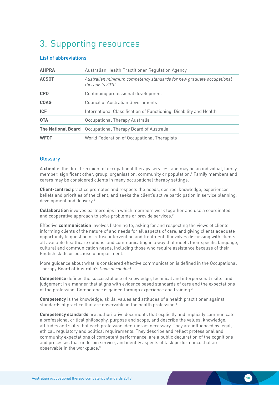## <span id="page-10-0"></span>3. Supporting resources

#### List of abbreviations

| <b>AHPRA</b> | Australian Health Practitioner Regulation Agency                                         |
|--------------|------------------------------------------------------------------------------------------|
| <b>ACSOT</b> | Australian minimum competency standards for new graduate occupational<br>therapists 2010 |
| <b>CPD</b>   | Continuing professional development                                                      |
| <b>COAG</b>  | <b>Council of Australian Governments</b>                                                 |
| <b>ICF</b>   | International Classification of Functioning, Disability and Health                       |
| <b>OTA</b>   | Occupational Therapy Australia                                                           |
|              | <b>The National Board</b> Occupational Therapy Board of Australia                        |
| <b>WFOT</b>  | World Federation of Occupational Therapists                                              |

#### **Glossary**

A **client** is the direct recipient of occupational therapy services, and may be an individual, family member, significant other, group, organisation, community or population.2 Family members and carers may be considered clients in many occupational therapy settings.

**Client-centred** practice promotes and respects the needs, desires, knowledge, experiences, beliefs and priorities of the client, and seeks the client's active participation in service planning, development and delivery.<sup>2</sup>

**Collaboration** involves partnerships in which members work together and use a coordinated and cooperative approach to solve problems or provide services.<sup>2</sup>

Effective **communication** involves listening to, asking for and respecting the views of clients, informing clients of the nature of and needs for all aspects of care, and giving clients adequate opportunity to question or refuse intervention and treatment. It involves discussing with clients all available healthcare options, and communicating in a way that meets their specific language, cultural and communication needs, including those who require assistance because of their English skills or because of impairment.

More guidance about what is considered effective communication is defined in the Occupational Therapy Board of Australia's *Code of conduct*.

**Competence** defines the successful use of knowledge, technical and interpersonal skills, and judgement in a manner that aligns with evidence based standards of care and the expectations of the profession. Competence is gained through experience and training.<sup>3</sup>

**Competency** is the knowledge, skills, values and attitudes of a health practitioner against standards of practice that are observable in the health profession.<sup>4</sup>

**Competency standards** are authoritative documents that explicitly and implicitly communicate a professional critical philosophy, purpose and scope, and describe the values, knowledge, attitudes and skills that each profession identifies as necessary. They are influenced by legal, ethical, regulatory and political requirements. They describe and reflect professional and community expectations of competent performance, are a public declaration of the cognitions and processes that underpin service, and identify aspects of task performance that are observable in the workplace.3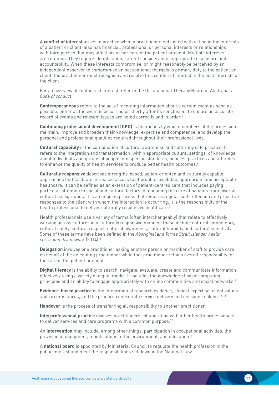A **conflict of interest** arises in practice when a practitioner, entrusted with acting in the interests of a patient or client, also has financial, professional or personal interests or relationships with third parties that may affect his or her care of the patient or client. Multiple interests are common. They require identification, careful consideration, appropriate disclosure and accountability. When these interests compromise, or might reasonably be perceived by an independent observer to compromise an occupational therapist's primary duty to the patient or client, the practitioner must recognise and resolve this conflict of interest in the best interests of the client.

For an overview of conflicts of interest, refer to the Occupational Therapy Board of Australia's *Code of conduct*.

**Contemporaneous** refers to the act of recording information about a certain event as soon as possible, either as the event is occurring or shortly after its conclusion, to ensure an accurate record of events and relevant issues are noted correctly and in order.<sup>5</sup>

**Continuing professional development (CPD)** is the means by which members of the profession maintain, improve and broaden their knowledge, expertise and competence, and develop the personal and professional qualities required throughout their professional lives.

**Cultural capability** is the combination of cultural awareness and culturally safe practice. It refers to the integration and transformation, within appropriate cultural settings, of knowledge about individuals and groups of people into specific standards, policies, practices and attitudes to enhance the quality of health services to produce better health outcomes.<sup>6</sup>

**Culturally responsive** describes strengths-based, action-oriented and culturally capable approaches that facilitate increased access to affordable, available, appropriate and acceptable healthcare. It can be defined as an extension of patient-centred care that includes paying particular attention to social and cultural factors in managing the care of patients from diverse cultural backgrounds. It is an ongoing process that requires regular self-reflection and proactive responses to the client with whom the interaction is occurring. It is the responsibility of the health professional to deliver culturally responsive healthcare.<sup>7</sup>

Health professionals use a variety of terms (often interchangeably) that relate to effectively working across cultures in a culturally responsive manner. These include cultural competency, cultural safety, cultural respect, cultural awareness, cultural humility and cultural sensitivity. Some of these terms have been defined in the *Aboriginal and Torres Strait Islander health curriculum framework* (2014).8

**Delegation** involves one practitioner asking another person or member of staff to provide care on behalf of the delegating practitioner while that practitioner retains overall responsibility for the care of the patient or client.

**Digital literacy** is the ability to search, navigate, evaluate, create and communicate information effectively using a variety of digital media. It includes the knowledge of basic computing principles and an ability to engage appropriately with online communities and social networks.<sup>9</sup>

**Evidence-based practice** is the integration of research evidence, clinical expertise, client values and circumstances, and the practice context into service delivery and decision-making.<sup>10, 11</sup>

**Handover** is the process of transferring all responsibility to another practitioner.

**Interprofessional practice** involves practitioners collaborating with other health professionals to deliver services and care programs with a common purpose.<sup>12</sup>

An **intervention** may include, among other things, participation in occupational activities, the provision of equipment, modifications to the environment, and education.2

A **national board** is appointed by Ministerial Council to regulate the health profession in the public interest and meet the responsibilities set down in the National Law.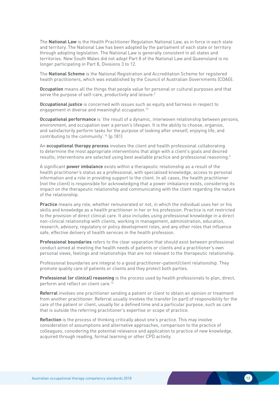The **National Law** is the Health Practitioner Regulation National Law, as in force in each state and territory. The National Law has been adopted by the parliament of each state or territory through adopting legislation. The National Law is generally consistent in all states and territories. New South Wales did not adopt Part 8 of the National Law and Queensland is no longer participating in Part 8, Divisions 3 to 12.

The **National Scheme** is the National Registration and Accreditation Scheme for registered health practitioners, which was established by the Council of Australian Governments (COAG).

**Occupation** means all the things that people value for personal or cultural purposes and that serve the purpose of self-care, productivity and leisure.<sup>2</sup>

**Occupational justice** is concerned with issues such as equity and fairness in respect to engagement in diverse and meaningful occupation.<sup>13</sup>

**Occupational performance** is 'the result of a dynamic, interwoven relationship between persons, environment, and occupation over a person's lifespan. It is the ability to choose, organise, and satisfactorily perform tasks for the purpose of looking after oneself, enjoying life, and contributing to the community'.14 (p.181)

An **occupational therapy process** involves the client and health professional collaborating to determine the most appropriate interventions that align with a client's goals and desired results; interventions are selected using best available practice and professional reasoning.<sup>2</sup>

A significant **power imbalance** exists within a therapeutic relationship as a result of the health practitioner's status as a professional, with specialised knowledge, access to personal information and a role in providing support to the client. In all cases, the health practitioner (not the client) is responsible for acknowledging that a power imbalance exists, considering its impact on the therapeutic relationship and communicating with the client regarding the nature of the relationship.

**Practice** means any role, whether remunerated or not, in which the individual uses her or his skills and knowledge as a health practitioner in her or his profession. Practice is not restricted to the provision of direct clinical care. It also includes using professional knowledge in a direct non-clinical relationship with clients, working in management, administration, education, research, advisory, regulatory or policy development roles, and any other roles that influence safe, effective delivery of health services in the health profession.

**Professional boundaries** refers to the clear separation that should exist between professional conduct aimed at meeting the health needs of patients or clients and a practitioner's own personal views, feelings and relationships that are not relevant to the therapeutic relationship.

Professional boundaries are integral to a good practitioner–patient/client relationship. They promote quality care of patients or clients and they protect both parties.

**Professional (or clinical) reasoning** is the process used by health professionals to plan, direct, perform and reflect on client care.15

**Referral** involves one practitioner sending a patient or client to obtain an opinion or treatment from another practitioner. Referral usually involves the transfer (in part) of responsibility for the care of the patient or client, usually for a defined time and a particular purpose, such as care that is outside the referring practitioner's expertise or scope of practice.

**Reflection** is the process of thinking critically about one's practice. This may involve consideration of assumptions and alternative approaches, comparison to the practice of colleagues, considering the potential relevance and application to practice of new knowledge, acquired through reading, formal learning or other CPD activity.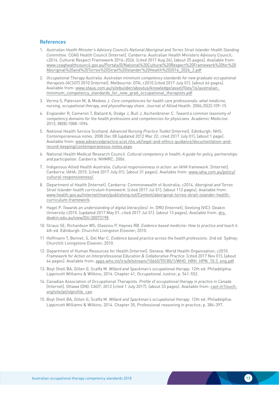#### <span id="page-13-0"></span>**References**

- 1. *Australian Health Minister's Advisory Council's National Aboriginal and Torres Strait Islander Health Standing Committee*. COAG Health Council [Internet]. Canberra: Australian Health Ministers Advisory Council; c2014. Cultural Respect Framework 2016–2026. [cited 2017 Aug 24]; [about 25 pages]. Available from: [www.coaghealthcouncil.gov.au/Portals/0/National%20Cultural%20Respect%20Framework%20for%20](http://www.coaghealthcouncil.gov.au/Portals/0/National%20Cultural%20Respect%20Framework%20for%20Abor) [Aboriginal%20and%20Torres%20Strait%20Islander%20Health%202016\\_2026\\_2.pdf](http://www.coaghealthcouncil.gov.au/Portals/0/National%20Cultural%20Respect%20Framework%20for%20Abor)
- 2. *Occupational Therapy Australia. Australian minimum competency standards for new graduate occupational therapists (ACSOT)* 2010 [Internet]. Melbourne: OTA; c2010 [cited 2017 July 01]. [about 64 pages]. Available from: [www.otaus.com.au/sitebuilder/aboutus/knowledge/asset/files/16/australian\\_](https://www.otaus.com.au/sitebuilder/aboutus/knowledge/asset/files/16/australian_minimum_competency_) minimum competency standards for new grad occupational therapists.pdf
- 3. Verma S, Paterson M, & Medves J. *Core competencies for health care professionals: what medicine, nursing, occupational therapy, and physiotherapy share*. Journal of Allied Health. 2006;35(2):109–15
- 4. Englander R, Cameron T, Ballard A, Dodge J, Bull J, Aschenbrener C. *Toward a common taxonomy of competency domains for the health professions and competencies for physicians*. Academic Medicine. 2013; 88(8):1088–1094.
- 5. National Health Service Scotland. *Advanced Nursing Practice Toolkit* [Internet]. Edinburgh: NHS. Contemporaneous notes. 2008 Dec 08 [updated 2012 Mar 22; cited 2017 July 01]; [about 1 page]. Available from: [www.advancedpractice.scot.nhs.uk/legal-and-ethics-guidance/documentation-and](http://www.advancedpractice.scot.nhs.uk/legal-and-ethics-guidance/documentation-and-record-keeping/contempo)[record-keeping/contemporaneous-notes.aspx.](http://www.advancedpractice.scot.nhs.uk/legal-and-ethics-guidance/documentation-and-record-keeping/contempo)
- 6. National Health Medical Research Council. *Cultural competency in health: A guide for policy, partnerships and participation*. Canberra: NHMRC; 2006.
- 7. Indigenous Allied Health Australia. *Cultural responsiveness in action: an IAHA framework*. [Internet]. Canberra: IAHA; 2015. [cited 2017 July 01]. [about 31 pages]. Available from: [www.iaha.com.au/policy/](http://iaha.com.au/policy/cultural-responsiveness/) [cultural-responsiveness/](http://iaha.com.au/policy/cultural-responsiveness/).
- 8. Department of Health [Internet]. Canberra: Commonwealth of Australia; c2014. *Aboriginal and Torres Strait Islander health curriculum framework*. [cited 2017 Jul 01]; [about 112 pages]. Available from: [www.health.gov.au/internet/main/publishing.nsf/Content/aboriginal-torres-strait-islander-health](http://www.health.gov.au/internet/main/publishing.nsf/Content/aboriginal-torres-strait-islander-heal)[curriculum-framework](http://www.health.gov.au/internet/main/publishing.nsf/Content/aboriginal-torres-strait-islander-heal).
- 9 Hagel P. *Towards an understanding of digital literacy(ies)*. In: DRO [Internet]. Geelong (VIC): Deakin University c2015. [updated 2017 May 01; cited 2017 Jul 01]. [about 13 pages]. Available from: [dro.](http://dro.deakin.edu.au/view/DU:30073198) [deakin.edu.au/view/DU:30073198.](http://dro.deakin.edu.au/view/DU:30073198)
- 10. Straus SE, Richardson WS, Glasziou P, Haynes RB. *Evidence based medicine: How to practice and teach it*. 4th ed. Edinburgh: Churchill Livingston Elsevier; 2010.
- 11 Hoffmann T, Bennet, S, Del Mar C. *Evidence based practice across the health professions*. 2nd ed. Sydney: Churchill Livingstone Elsevier; 2010.
- 12. Department of Human Resources for Health [Internet]. Geneva: World Health Organisation; c2010. *Framework for Action on Interprofessional Education & Collaborative Practice*. [cited 2017 Nov 01]; [about 64 pages]. Available from: [apps.who.int/iris/bitstream/10665/70185/1/WHO\\_HRH\\_HPN\\_10.3\\_eng.pdf.](http://apps.who.int/iris/bitstream/10665/70185/1/WHO_HRH_HPN_10.3_eng.pdf)
- 13. Boyt Shell BA, Gillen G, Scaffa M. *Willard and Spackman's occupational therapy*. 12th ed. Philadelphia: Lippincott Williams & Wilkins; 2014. Chapter 41, Occupational Justice; p. 541-552.
- 14. Canadian Association of Occupational Therapists. *Profile of occupational therapy in practice in Canada* [Internet]. Ottawa (ON): CAOT; 2012 [cited 1 July 2017]. [about 33 pages]. Available from: [caot.in1touch.](http://caot.in1touch.org/site/pt/otprofile_can) [org/site/pt/otprofile\\_can.](http://caot.in1touch.org/site/pt/otprofile_can)
- 15. Boyt Shell BA, Gillen G, Scaffa M. *Willard and Spackman's occupational therapy*. 12th ed. Philadelphia: Lippincott Williams & Wilkins; 2014. Chapter 30, Professional reasoning in practice; p. 384-397.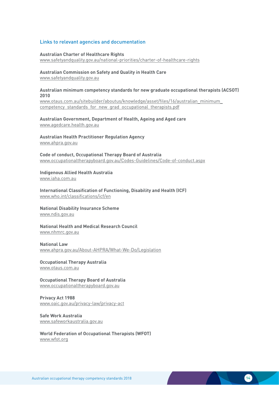#### <span id="page-14-0"></span>Links to relevant agencies and documentation

#### **Australian Charter of Healthcare Rights** [www.safetyandquality.gov.au/national-priorities/charter-of-healthcare-rights](http://www.safetyandquality.gov.au/national-priorities/charter-of-healthcare-rights)

**Australian Commission on Safety and Quality in Health Care** [www.safetyandquality.gov.au](http://www.safetyandquality.gov.au)

#### **Australian minimum competency standards for new graduate occupational therapists (ACSOT) 2010**

[www.otaus.com.au/sitebuilder/aboutus/knowledge/asset/files/16/australian\\_minimum\\_](http://www.otaus.com.au/sitebuilder/aboutus/knowledge/asset/files/16/australian_minimum_competency_standard) competency standards for new grad occupational therapists.pdf

#### **Australian Government, Department of Health, Ageing and Aged care** [www.agedcare.health.gov.au](http://agedcare.health.gov.au)

**Australian Health Practitioner Regulation Agency** [www.ahpra.gov.au](http://www.ahpra.gov.au)

**Code of conduct, Occupational Therapy Board of Australia** [www.occupationaltherapyboard.gov.au/Codes-Guidelines/Code-of-conduct.aspx](http://www.occupationaltherapyboard.gov.au/Codes-Guidelines/Code-of-conduct.aspxwww.occupationaltherapyboar)

### **Indigenous Allied Health Australia**

www[.iaha.com.au](http://www.iaha.com.au)

**International Classification of Functioning, Disability and Health (ICF)** [www.who.int/classifications/icf/en](http://www.who.int/classifications/icf/en)

**National Disability Insurance Scheme** [www.ndis.gov.au](http://www.ndis.gov.au)

**National Health and Medical Research Council** [www.nhmrc.gov.au](http://www.nhmrc.gov.au)

**National Law** [www.ahpra.gov.au/About-AHPRA/What-We-Do/Legislation](http://www.ahpra.gov.au/About-AHPRA/What-We-Do/Legislation)

**Occupational Therapy Australia** [www.otaus.com.au](http://www.otaus.com.au)

**Occupational Therapy Board of Australia** [www.occupationaltherapyboard.gov.au](http://www.occupationaltherapyboard.gov.au)

**Privacy Act 1988** [www.oaic.gov.au/privacy-law/privacy-act](http://www.oaic.gov.au/privacy-law/privacy-act)

**Safe Work Australia** [www.safeworkaustralia.gov.au](http://www.safeworkaustralia.gov.au)

**World Federation of Occupational Therapists (WFOT)** [www.wfot.org](http://www.wfot.org)